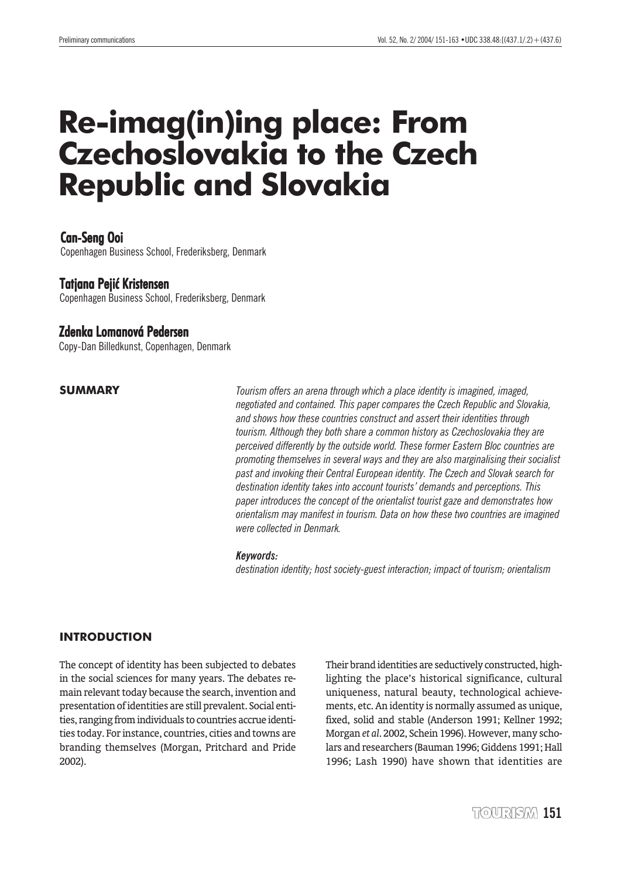# **Re-imag(in)ing place: From Czechoslovakia to the Czech Republic and Slovakia**

# Can-Seng Ooi

Copenhagen Business School, Frederiksberg, Denmark

## Tatjana Pejić Kristensen

Copenhagen Business School, Frederiksberg, Denmark

#### **Zdenka Lomanová Pedersen**

Copy-Dan Billedkunst, Copenhagen, Denmark

#### **SUMMARY**

*Tourism offers an arena through which a place identity is imagined, imaged, negotiated and contained. This paper compares the Czech Republic and Slovakia, and shows how these countries construct and assert their identities through tourism. Although they both share a common history as Czechoslovakia they are perceived differently by the outside world. These former Eastern Bloc countries are promoting themselves in several ways and they are also marginalising their socialist past and invoking their Central European identity. The Czech and Slovak search for destination identity takes into account tourists' demands and perceptions. This paper introduces the concept of the orientalist tourist gaze and demonstrates how orientalism may manifest in tourism. Data on how these two countries are imagined were collected in Denmark.*

#### *Keywords:*

*destination identity; host society-guest interaction; impact of tourism; orientalism*

#### **INTRODUCTION**

The concept of identity has been subjected to debates in the social sciences for many years. The debates remain relevant today because the search, invention and presentation of identities are still prevalent. Social entities, ranging from individuals to countries accrue identities today. For instance, countries, cities and towns are branding themselves (Morgan, Pritchard and Pride 2002).

Their brand identities are seductively constructed, highlighting the place's historical significance, cultural uniqueness, natural beauty, technological achievements, etc. An identity is normally assumed as unique, fixed, solid and stable (Anderson 1991; Kellner 1992; Morgan *et al*. 2002, Schein 1996). However, many scholars and researchers (Bauman 1996; Giddens 1991; Hall 1996; Lash 1990) have shown that identities are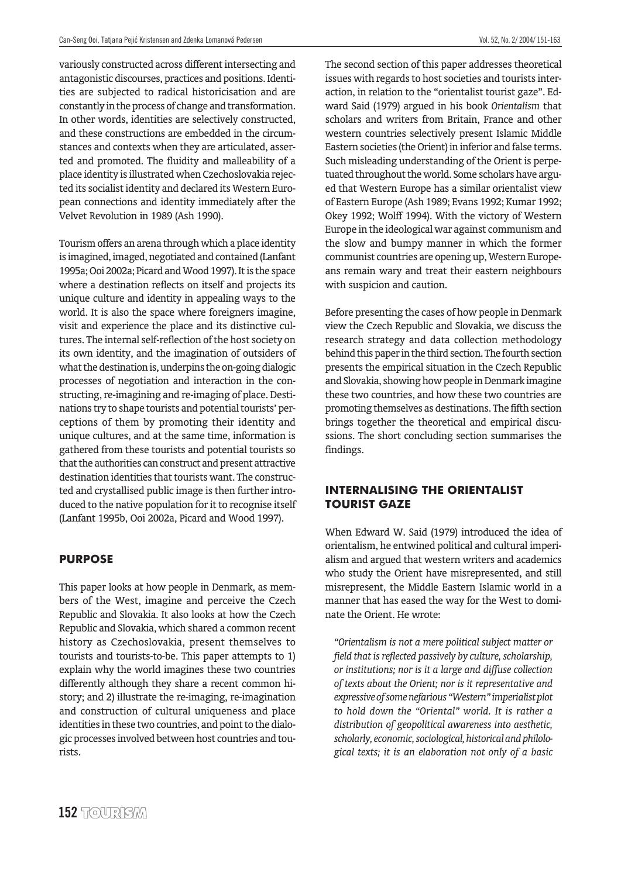variously constructed across different intersecting and antagonistic discourses, practices and positions. Identities are subjected to radical historicisation and are constantly in the process of change and transformation. In other words, identities are selectively constructed, and these constructions are embedded in the circumstances and contexts when they are articulated, asserted and promoted. The fluidity and malleability of a place identity is illustrated when Czechoslovakia rejected its socialist identity and declared its Western European connections and identity immediately after the Velvet Revolution in 1989 (Ash 1990).

Tourism offers an arena through which a place identity is imagined, imaged, negotiated and contained (Lanfant 1995a; Ooi 2002a; Picard and Wood 1997). It is the space where a destination reflects on itself and projects its unique culture and identity in appealing ways to the world. It is also the space where foreigners imagine, visit and experience the place and its distinctive cultures. The internal self-reflection of the host society on its own identity, and the imagination of outsiders of what the destination is, underpins the on-going dialogic processes of negotiation and interaction in the constructing, re-imagining and re-imaging of place. Destinations try to shape tourists and potential tourists' perceptions of them by promoting their identity and unique cultures, and at the same time, information is gathered from these tourists and potential tourists so that the authorities can construct and present attractive destination identities that tourists want. The constructed and crystallised public image is then further introduced to the native population for it to recognise itself (Lanfant 1995b, Ooi 2002a, Picard and Wood 1997).

#### **PURPOSE**

This paper looks at how people in Denmark, as members of the West, imagine and perceive the Czech Republic and Slovakia. It also looks at how the Czech Republic and Slovakia, which shared a common recent history as Czechoslovakia, present themselves to tourists and tourists-to-be. This paper attempts to 1) explain why the world imagines these two countries differently although they share a recent common history; and 2) illustrate the re-imaging, re-imagination and construction of cultural uniqueness and place identities in these two countries, and point to the dialogic processes involved between host countries and tourists.

The second section of this paper addresses theoretical issues with regards to host societies and tourists interaction, in relation to the "orientalist tourist gaze". Edward Said (1979) argued in his book *Orientalism* that scholars and writers from Britain, France and other western countries selectively present Islamic Middle Eastern societies (the Orient) in inferior and false terms. Such misleading understanding of the Orient is perpetuated throughout the world. Some scholars have argued that Western Europe has a similar orientalist view of Eastern Europe (Ash 1989; Evans 1992; Kumar 1992; Okey 1992; Wolff 1994). With the victory of Western Europe in the ideological war against communism and the slow and bumpy manner in which the former communist countries are opening up, Western Europeans remain wary and treat their eastern neighbours with suspicion and caution.

Before presenting the cases of how people in Denmark view the Czech Republic and Slovakia, we discuss the research strategy and data collection methodology behind this paper in the third section. The fourth section presents the empirical situation in the Czech Republic and Slovakia, showing how people in Denmark imagine these two countries, and how these two countries are promoting themselves as destinations. The fifth section brings together the theoretical and empirical discussions. The short concluding section summarises the findings.

# **INTERNALISING THE ORIENTALIST TOURIST GAZE**

When Edward W. Said (1979) introduced the idea of orientalism, he entwined political and cultural imperialism and argued that western writers and academics who study the Orient have misrepresented, and still misrepresent, the Middle Eastern Islamic world in a manner that has eased the way for the West to dominate the Orient. He wrote:

*"Orientalism is not a mere political subject matter or field that is reflected passively by culture, scholarship, or institutions; nor is it a large and diffuse collection of texts about the Orient; nor is it representative and expressive of some nefarious "Western" imperialist plot to hold down the "Oriental" world. It is rather a distribution of geopolitical awareness into aesthetic, scholarly, economic, sociological, historical and philological texts; it is an elaboration not only of a basic*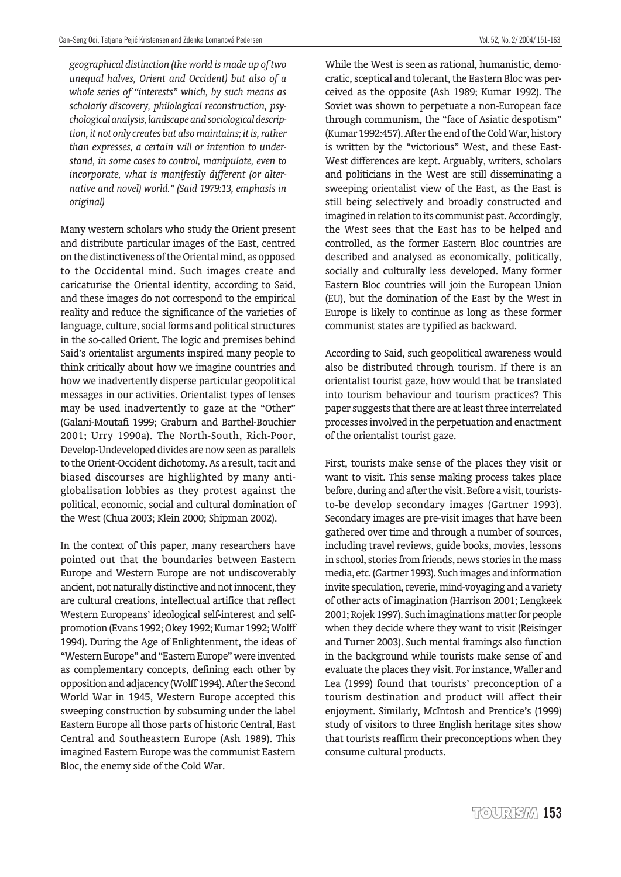*geographical distinction (the world is made up of two unequal halves, Orient and Occident) but also of a whole series of "interests" which, by such means as scholarly discovery, philological reconstruction, psychological analysis, landscape and sociological description, it not only creates but also maintains; it is, rather than expresses, a certain will or intention to understand, in some cases to control, manipulate, even to incorporate, what is manifestly different (or alternative and novel) world." (Said 1979:13, emphasis in original)*

Many western scholars who study the Orient present and distribute particular images of the East, centred on the distinctiveness of the Oriental mind, as opposed to the Occidental mind. Such images create and caricaturise the Oriental identity, according to Said, and these images do not correspond to the empirical reality and reduce the significance of the varieties of language, culture, social forms and political structures in the so-called Orient. The logic and premises behind Said's orientalist arguments inspired many people to think critically about how we imagine countries and how we inadvertently disperse particular geopolitical messages in our activities. Orientalist types of lenses may be used inadvertently to gaze at the "Other" (Galani-Moutafi 1999; Graburn and Barthel-Bouchier 2001; Urry 1990a). The North-South, Rich-Poor, Develop-Undeveloped divides are now seen as parallels to the Orient-Occident dichotomy. As a result, tacit and biased discourses are highlighted by many antiglobalisation lobbies as they protest against the political, economic, social and cultural domination of the West (Chua 2003; Klein 2000; Shipman 2002).

In the context of this paper, many researchers have pointed out that the boundaries between Eastern Europe and Western Europe are not undiscoverably ancient, not naturally distinctive and not innocent, they are cultural creations, intellectual artifice that reflect Western Europeans' ideological self-interest and selfpromotion (Evans 1992; Okey 1992; Kumar 1992; Wolff 1994). During the Age of Enlightenment, the ideas of "Western Europe" and "Eastern Europe" were invented as complementary concepts, defining each other by opposition and adjacency (Wolff 1994). After the Second World War in 1945, Western Europe accepted this sweeping construction by subsuming under the label Eastern Europe all those parts of historic Central, East Central and Southeastern Europe (Ash 1989). This imagined Eastern Europe was the communist Eastern Bloc, the enemy side of the Cold War.

While the West is seen as rational, humanistic, democratic, sceptical and tolerant, the Eastern Bloc was perceived as the opposite (Ash 1989; Kumar 1992). The Soviet was shown to perpetuate a non-European face through communism, the "face of Asiatic despotism" (Kumar 1992:457). After the end of the Cold War, history is written by the "victorious" West, and these East-West differences are kept. Arguably, writers, scholars and politicians in the West are still disseminating a sweeping orientalist view of the East, as the East is still being selectively and broadly constructed and imagined in relation to its communist past. Accordingly, the West sees that the East has to be helped and controlled, as the former Eastern Bloc countries are described and analysed as economically, politically, socially and culturally less developed. Many former Eastern Bloc countries will join the European Union (EU), but the domination of the East by the West in Europe is likely to continue as long as these former communist states are typified as backward.

According to Said, such geopolitical awareness would also be distributed through tourism. If there is an orientalist tourist gaze, how would that be translated into tourism behaviour and tourism practices? This paper suggests that there are at least three interrelated processes involved in the perpetuation and enactment of the orientalist tourist gaze.

First, tourists make sense of the places they visit or want to visit. This sense making process takes place before, during and after the visit. Before a visit, touriststo-be develop secondary images (Gartner 1993). Secondary images are pre-visit images that have been gathered over time and through a number of sources, including travel reviews, guide books, movies, lessons in school, stories from friends, news stories in the mass media, etc. (Gartner 1993). Such images and information invite speculation, reverie, mind-voyaging and a variety of other acts of imagination (Harrison 2001; Lengkeek 2001; Rojek 1997). Such imaginations matter for people when they decide where they want to visit (Reisinger and Turner 2003). Such mental framings also function in the background while tourists make sense of and evaluate the places they visit. For instance, Waller and Lea (1999) found that tourists' preconception of a tourism destination and product will affect their enjoyment. Similarly, McIntosh and Prentice's (1999) study of visitors to three English heritage sites show that tourists reaffirm their preconceptions when they consume cultural products.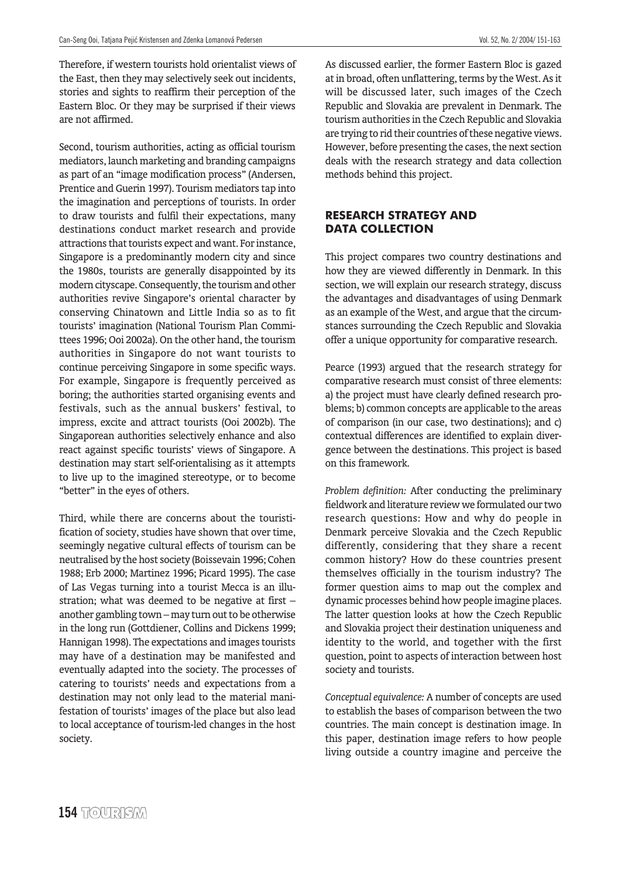Therefore, if western tourists hold orientalist views of the East, then they may selectively seek out incidents, stories and sights to reaffirm their perception of the Eastern Bloc. Or they may be surprised if their views are not affirmed.

Second, tourism authorities, acting as official tourism mediators, launch marketing and branding campaigns as part of an "image modification process" (Andersen, Prentice and Guerin 1997). Tourism mediators tap into the imagination and perceptions of tourists. In order to draw tourists and fulfil their expectations, many destinations conduct market research and provide attractions that tourists expect and want. For instance, Singapore is a predominantly modern city and since the 1980s, tourists are generally disappointed by its modern cityscape. Consequently, the tourism and other authorities revive Singapore's oriental character by conserving Chinatown and Little India so as to fit tourists' imagination (National Tourism Plan Committees 1996; Ooi 2002a). On the other hand, the tourism authorities in Singapore do not want tourists to continue perceiving Singapore in some specific ways. For example, Singapore is frequently perceived as boring; the authorities started organising events and festivals, such as the annual buskers' festival, to impress, excite and attract tourists (Ooi 2002b). The Singaporean authorities selectively enhance and also react against specific tourists' views of Singapore. A destination may start self-orientalising as it attempts to live up to the imagined stereotype, or to become "better" in the eyes of others.

Third, while there are concerns about the touristification of society, studies have shown that over time, seemingly negative cultural effects of tourism can be neutralised by the host society (Boissevain 1996; Cohen 1988; Erb 2000; Martinez 1996; Picard 1995). The case of Las Vegas turning into a tourist Mecca is an illustration; what was deemed to be negative at first – another gambling town – may turn out to be otherwise in the long run (Gottdiener, Collins and Dickens 1999; Hannigan 1998). The expectations and images tourists may have of a destination may be manifested and eventually adapted into the society. The processes of catering to tourists' needs and expectations from a destination may not only lead to the material manifestation of tourists' images of the place but also lead to local acceptance of tourism-led changes in the host society.

As discussed earlier, the former Eastern Bloc is gazed at in broad, often unflattering, terms by the West. As it will be discussed later, such images of the Czech Republic and Slovakia are prevalent in Denmark. The tourism authorities in the Czech Republic and Slovakia are trying to rid their countries of these negative views. However, before presenting the cases, the next section deals with the research strategy and data collection methods behind this project.

#### **RESEARCH STRATEGY AND DATA COLLECTION**

This project compares two country destinations and how they are viewed differently in Denmark. In this section, we will explain our research strategy, discuss the advantages and disadvantages of using Denmark as an example of the West, and argue that the circumstances surrounding the Czech Republic and Slovakia offer a unique opportunity for comparative research.

Pearce (1993) argued that the research strategy for comparative research must consist of three elements: a) the project must have clearly defined research problems; b) common concepts are applicable to the areas of comparison (in our case, two destinations); and c) contextual differences are identified to explain divergence between the destinations. This project is based on this framework.

*Problem definition:* After conducting the preliminary fieldwork and literature review we formulated our two research questions: How and why do people in Denmark perceive Slovakia and the Czech Republic differently, considering that they share a recent common history? How do these countries present themselves officially in the tourism industry? The former question aims to map out the complex and dynamic processes behind how people imagine places. The latter question looks at how the Czech Republic and Slovakia project their destination uniqueness and identity to the world, and together with the first question, point to aspects of interaction between host society and tourists.

*Conceptual equivalence:* A number of concepts are used to establish the bases of comparison between the two countries. The main concept is destination image. In this paper, destination image refers to how people living outside a country imagine and perceive the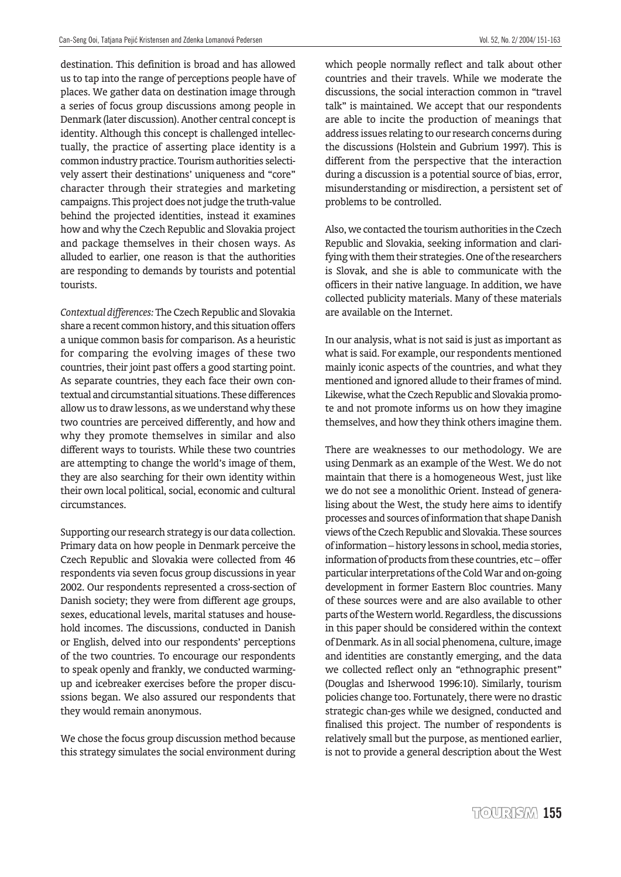destination. This definition is broad and has allowed us to tap into the range of perceptions people have of places. We gather data on destination image through a series of focus group discussions among people in Denmark (later discussion). Another central concept is identity. Although this concept is challenged intellectually, the practice of asserting place identity is a common industry practice. Tourism authorities selectively assert their destinations' uniqueness and "core" character through their strategies and marketing campaigns. This project does not judge the truth-value behind the projected identities, instead it examines how and why the Czech Republic and Slovakia project and package themselves in their chosen ways. As alluded to earlier, one reason is that the authorities are responding to demands by tourists and potential tourists.

*Contextual differences:* The Czech Republic and Slovakia share a recent common history, and this situation offers a unique common basis for comparison. As a heuristic for comparing the evolving images of these two countries, their joint past offers a good starting point. As separate countries, they each face their own contextual and circumstantial situations. These differences allow us to draw lessons, as we understand why these two countries are perceived differently, and how and why they promote themselves in similar and also different ways to tourists. While these two countries are attempting to change the world's image of them, they are also searching for their own identity within their own local political, social, economic and cultural circumstances.

Supporting our research strategy is our data collection. Primary data on how people in Denmark perceive the Czech Republic and Slovakia were collected from 46 respondents via seven focus group discussions in year 2002. Our respondents represented a cross-section of Danish society; they were from different age groups, sexes, educational levels, marital statuses and household incomes. The discussions, conducted in Danish or English, delved into our respondents' perceptions of the two countries. To encourage our respondents to speak openly and frankly, we conducted warmingup and icebreaker exercises before the proper discussions began. We also assured our respondents that they would remain anonymous.

We chose the focus group discussion method because this strategy simulates the social environment during which people normally reflect and talk about other countries and their travels. While we moderate the discussions, the social interaction common in "travel talk" is maintained. We accept that our respondents are able to incite the production of meanings that address issues relating to our research concerns during the discussions (Holstein and Gubrium 1997). This is different from the perspective that the interaction during a discussion is a potential source of bias, error, misunderstanding or misdirection, a persistent set of problems to be controlled.

Also, we contacted the tourism authorities in the Czech Republic and Slovakia, seeking information and clarifying with them their strategies. One of the researchers is Slovak, and she is able to communicate with the officers in their native language. In addition, we have collected publicity materials. Many of these materials are available on the Internet.

In our analysis, what is not said is just as important as what is said. For example, our respondents mentioned mainly iconic aspects of the countries, and what they mentioned and ignored allude to their frames of mind. Likewise, what the Czech Republic and Slovakia promote and not promote informs us on how they imagine themselves, and how they think others imagine them.

There are weaknesses to our methodology. We are using Denmark as an example of the West. We do not maintain that there is a homogeneous West, just like we do not see a monolithic Orient. Instead of generalising about the West, the study here aims to identify processes and sources of information that shape Danish views of the Czech Republic and Slovakia. These sources of information – history lessons in school, media stories, information of products from these countries, etc – offer particular interpretations of the Cold War and on-going development in former Eastern Bloc countries. Many of these sources were and are also available to other parts of the Western world. Regardless, the discussions in this paper should be considered within the context of Denmark. As in all social phenomena, culture, image and identities are constantly emerging, and the data we collected reflect only an "ethnographic present" (Douglas and Isherwood 1996:10). Similarly, tourism policies change too. Fortunately, there were no drastic strategic chan-ges while we designed, conducted and finalised this project. The number of respondents is relatively small but the purpose, as mentioned earlier, is not to provide a general description about the West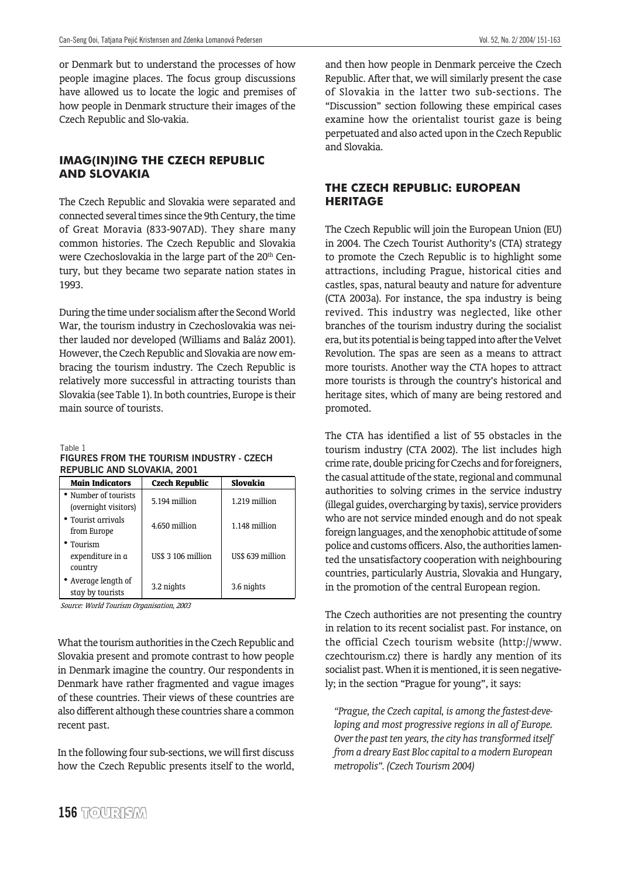or Denmark but to understand the processes of how people imagine places. The focus group discussions have allowed us to locate the logic and premises of how people in Denmark structure their images of the Czech Republic and Slo-vakia.

## **IMAG(IN)ING THE CZECH REPUBLIC AND SLOVAKIA**

The Czech Republic and Slovakia were separated and connected several times since the 9th Century, the time of Great Moravia (833-907AD). They share many common histories. The Czech Republic and Slovakia were Czechoslovakia in the large part of the 20<sup>th</sup> Century, but they became two separate nation states in 1993.

During the time under socialism after the Second World War, the tourism industry in Czechoslovakia was neither lauded nor developed (Williams and Baláz 2001). However, the Czech Republic and Slovakia are now embracing the tourism industry. The Czech Republic is relatively more successful in attracting tourists than Slovakia (see Table 1). In both countries, Europe is their main source of tourists.

Table 1

#### **FIGURES FROM THE TOURISM INDUSTRY - CZECH REPUBLIC AND SLOVAKIA, 2001**

| <b>Main Indicators</b>                       | <b>Czech Republic</b> | Slovakia         |  |
|----------------------------------------------|-----------------------|------------------|--|
| • Number of tourists<br>(overnight visitors) | 5.194 million         | 1.219 million    |  |
| • Tourist arrivals<br>from Europe            | 4.650 million         | 1.148 million    |  |
| • Tourism<br>expenditure in a<br>country     | US\$ 3 106 million    | US\$ 639 million |  |
| • Average length of<br>stay by tourists      | 3.2 nights            | 3.6 nights       |  |

Source: World Tourism Organisation, 2003

What the tourism authorities in the Czech Republic and Slovakia present and promote contrast to how people in Denmark imagine the country. Our respondents in Denmark have rather fragmented and vague images of these countries. Their views of these countries are also different although these countries share a common recent past.

In the following four sub-sections, we will first discuss how the Czech Republic presents itself to the world,

and then how people in Denmark perceive the Czech Republic. After that, we will similarly present the case of Slovakia in the latter two sub-sections. The "Discussion" section following these empirical cases examine how the orientalist tourist gaze is being perpetuated and also acted upon in the Czech Republic and Slovakia.

#### **THE CZECH REPUBLIC: EUROPEAN HERITAGE**

The Czech Republic will join the European Union (EU) in 2004. The Czech Tourist Authority's (CTA) strategy to promote the Czech Republic is to highlight some attractions, including Prague, historical cities and castles, spas, natural beauty and nature for adventure (CTA 2003a). For instance, the spa industry is being revived. This industry was neglected, like other branches of the tourism industry during the socialist era, but its potential is being tapped into after the Velvet Revolution. The spas are seen as a means to attract more tourists. Another way the CTA hopes to attract more tourists is through the country's historical and heritage sites, which of many are being restored and promoted.

The CTA has identified a list of 55 obstacles in the tourism industry (CTA 2002). The list includes high crime rate, double pricing for Czechs and for foreigners, the casual attitude of the state, regional and communal authorities to solving crimes in the service industry (illegal guides, overcharging by taxis), service providers who are not service minded enough and do not speak foreign languages, and the xenophobic attitude of some police and customs officers. Also, the authorities lamented the unsatisfactory cooperation with neighbouring countries, particularly Austria, Slovakia and Hungary, in the promotion of the central European region.

The Czech authorities are not presenting the country in relation to its recent socialist past. For instance, on the official Czech tourism website (http://www. czechtourism.cz) there is hardly any mention of its socialist past. When it is mentioned, it is seen negatively; in the section "Prague for young", it says:

*"Prague, the Czech capital, is among the fastest-developing and most progressive regions in all of Europe. Over the past ten years, the city has transformed itself from a dreary East Bloc capital to a modern European metropolis". (Czech Tourism 2004)*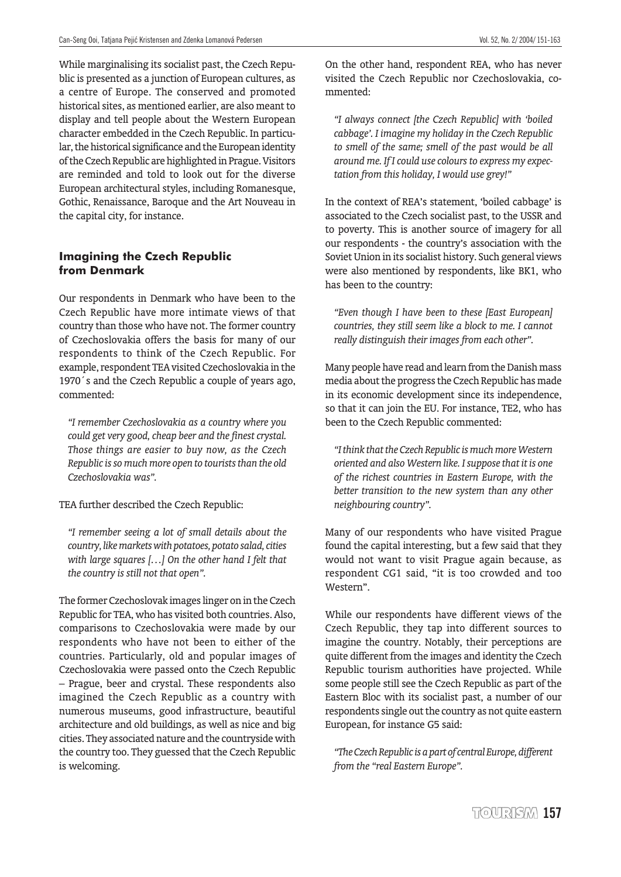While marginalising its socialist past, the Czech Republic is presented as a junction of European cultures, as a centre of Europe. The conserved and promoted historical sites, as mentioned earlier, are also meant to display and tell people about the Western European character embedded in the Czech Republic. In particular, the historical significance and the European identity of the Czech Republic are highlighted in Prague. Visitors are reminded and told to look out for the diverse European architectural styles, including Romanesque, Gothic, Renaissance, Baroque and the Art Nouveau in the capital city, for instance.

#### **Imagining the Czech Republic from Denmark**

Our respondents in Denmark who have been to the Czech Republic have more intimate views of that country than those who have not. The former country of Czechoslovakia offers the basis for many of our respondents to think of the Czech Republic. For example, respondent TEA visited Czechoslovakia in the 1970´s and the Czech Republic a couple of years ago, commented:

*"I remember Czechoslovakia as a country where you could get very good, cheap beer and the finest crystal. Those things are easier to buy now, as the Czech Republic is so much more open to tourists than the old Czechoslovakia was".*

TEA further described the Czech Republic:

*"I remember seeing a lot of small details about the country, like markets with potatoes, potato salad, cities with large squares […] On the other hand I felt that the country is still not that open".*

The former Czechoslovak images linger on in the Czech Republic for TEA, who has visited both countries. Also, comparisons to Czechoslovakia were made by our respondents who have not been to either of the countries. Particularly, old and popular images of Czechoslovakia were passed onto the Czech Republic – Prague, beer and crystal. These respondents also imagined the Czech Republic as a country with numerous museums, good infrastructure, beautiful architecture and old buildings, as well as nice and big cities. They associated nature and the countryside with the country too. They guessed that the Czech Republic is welcoming.

On the other hand, respondent REA, who has never visited the Czech Republic nor Czechoslovakia, commented:

*"I always connect [the Czech Republic] with 'boiled cabbage'. I imagine my holiday in the Czech Republic to smell of the same; smell of the past would be all around me. If I could use colours to express my expectation from this holiday, I would use grey!"*

In the context of REA's statement, 'boiled cabbage' is associated to the Czech socialist past, to the USSR and to poverty. This is another source of imagery for all our respondents - the country's association with the Soviet Union in its socialist history. Such general views were also mentioned by respondents, like BK1, who has been to the country:

*"Even though I have been to these [East European] countries, they still seem like a block to me. I cannot really distinguish their images from each other".*

Many people have read and learn from the Danish mass media about the progress the Czech Republic has made in its economic development since its independence, so that it can join the EU. For instance, TE2, who has been to the Czech Republic commented:

*"I think that the Czech Republic is much more Western oriented and also Western like. I suppose that it is one of the richest countries in Eastern Europe, with the better transition to the new system than any other neighbouring country".*

Many of our respondents who have visited Prague found the capital interesting, but a few said that they would not want to visit Prague again because, as respondent CG1 said, "it is too crowded and too Western".

While our respondents have different views of the Czech Republic, they tap into different sources to imagine the country. Notably, their perceptions are quite different from the images and identity the Czech Republic tourism authorities have projected. While some people still see the Czech Republic as part of the Eastern Bloc with its socialist past, a number of our respondents single out the country as not quite eastern European, for instance G5 said:

*"The Czech Republic is a part of central Europe, different from the "real Eastern Europe".*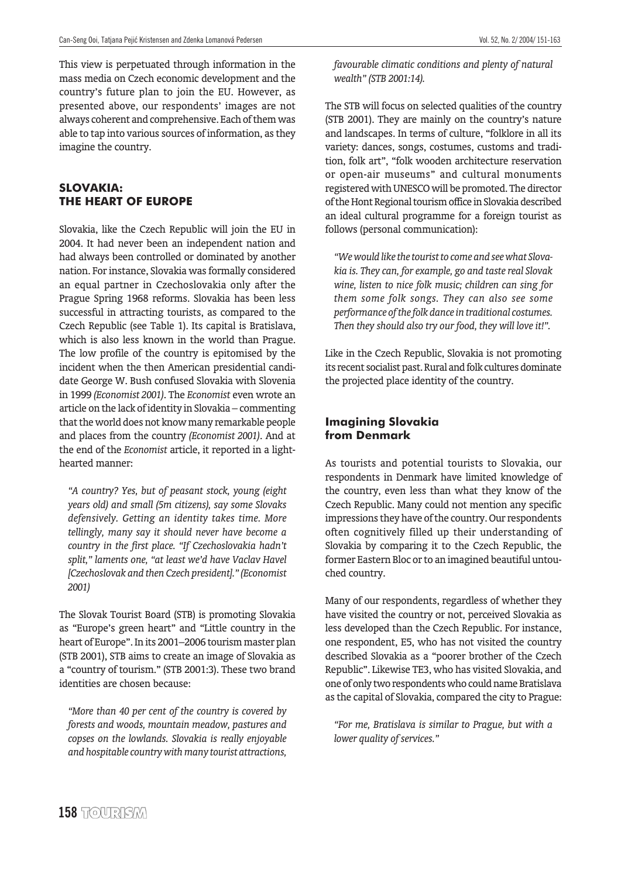This view is perpetuated through information in the mass media on Czech economic development and the country's future plan to join the EU. However, as presented above, our respondents' images are not always coherent and comprehensive. Each of them was able to tap into various sources of information, as they imagine the country.

#### **SLOVAKIA: THE HEART OF EUROPE**

Slovakia, like the Czech Republic will join the EU in 2004. It had never been an independent nation and had always been controlled or dominated by another nation. For instance, Slovakia was formally considered an equal partner in Czechoslovakia only after the Prague Spring 1968 reforms. Slovakia has been less successful in attracting tourists, as compared to the Czech Republic (see Table 1). Its capital is Bratislava, which is also less known in the world than Prague. The low profile of the country is epitomised by the incident when the then American presidential candidate George W. Bush confused Slovakia with Slovenia in 1999 *(Economist 2001)*. The *Economist* even wrote an article on the lack of identity in Slovakia – commenting that the world does not know many remarkable people and places from the country *(Economist 2001)*. And at the end of the *Economist* article, it reported in a lighthearted manner:

*"A country? Yes, but of peasant stock, young (eight years old) and small (5m citizens), say some Slovaks defensively. Getting an identity takes time. More tellingly, many say it should never have become a country in the first place. "If Czechoslovakia hadn't split," laments one, "at least we'd have Vaclav Havel [Czechoslovak and then Czech president]." (Economist 2001)*

The Slovak Tourist Board (STB) is promoting Slovakia as "Europe's green heart" and "Little country in the heart of Europe". In its 2001–2006 tourism master plan (STB 2001), STB aims to create an image of Slovakia as a "country of tourism." (STB 2001:3). These two brand identities are chosen because:

*"More than 40 per cent of the country is covered by forests and woods, mountain meadow, pastures and copses on the lowlands. Slovakia is really enjoyable and hospitable country with many tourist attractions,*

*favourable climatic conditions and plenty of natural wealth" (STB 2001:14).*

The STB will focus on selected qualities of the country (STB 2001). They are mainly on the country's nature and landscapes. In terms of culture, "folklore in all its variety: dances, songs, costumes, customs and tradition, folk art", "folk wooden architecture reservation or open-air museums" and cultural monuments registered with UNESCO will be promoted. The director of the Hont Regional tourism office in Slovakia described an ideal cultural programme for a foreign tourist as follows (personal communication):

*"We would like the tourist to come and see what Slovakia is. They can, for example, go and taste real Slovak wine, listen to nice folk music; children can sing for them some folk songs. They can also see some performance of the folk dance in traditional costumes. Then they should also try our food, they will love it!".*

Like in the Czech Republic, Slovakia is not promoting its recent socialist past. Rural and folk cultures dominate the projected place identity of the country.

#### **Imagining Slovakia from Denmark**

As tourists and potential tourists to Slovakia, our respondents in Denmark have limited knowledge of the country, even less than what they know of the Czech Republic. Many could not mention any specific impressions they have of the country. Our respondents often cognitively filled up their understanding of Slovakia by comparing it to the Czech Republic, the former Eastern Bloc or to an imagined beautiful untouched country.

Many of our respondents, regardless of whether they have visited the country or not, perceived Slovakia as less developed than the Czech Republic. For instance, one respondent, E5, who has not visited the country described Slovakia as a "poorer brother of the Czech Republic". Likewise TE3, who has visited Slovakia, and one of only two respondents who could name Bratislava as the capital of Slovakia, compared the city to Prague:

*"For me, Bratislava is similar to Prague, but with a lower quality of services."*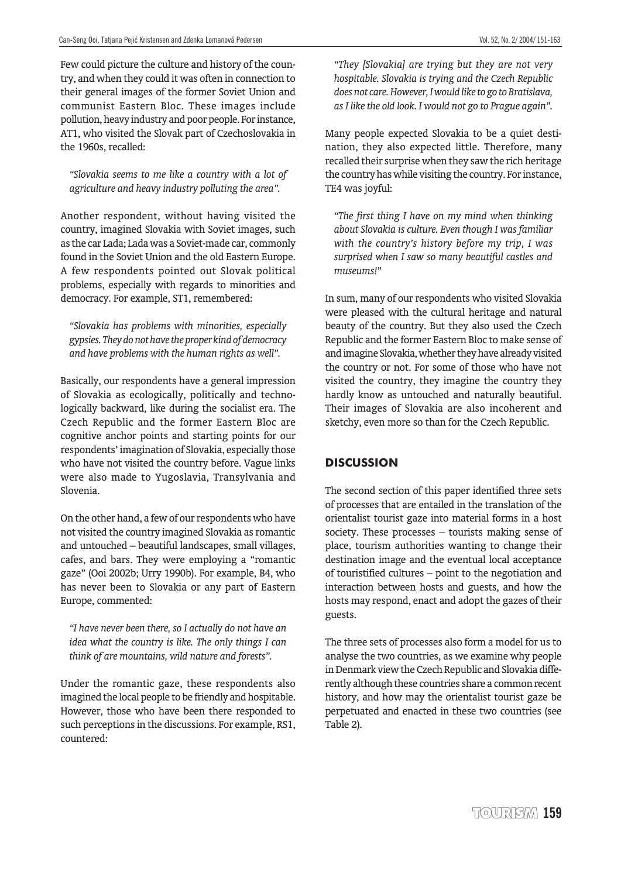Few could picture the culture and history of the country, and when they could it was often in connection to their general images of the former Soviet Union and communist Eastern Bloc. These images include pollution, heavy industry and poor people. For instance, AT1, who visited the Slovak part of Czechoslovakia in the 1960s, recalled:

*"Slovakia seems to me like a country with a lot of agriculture and heavy industry polluting the area".*

Another respondent, without having visited the country, imagined Slovakia with Soviet images, such as the car Lada; Lada was a Soviet-made car, commonly found in the Soviet Union and the old Eastern Europe. A few respondents pointed out Slovak political problems, especially with regards to minorities and democracy. For example, ST1, remembered:

*"Slovakia has problems with minorities, especially gypsies. They do not have the proper kind of democracy and have problems with the human rights as well".*

Basically, our respondents have a general impression of Slovakia as ecologically, politically and technologically backward, like during the socialist era. The Czech Republic and the former Eastern Bloc are cognitive anchor points and starting points for our respondents' imagination of Slovakia, especially those who have not visited the country before. Vague links were also made to Yugoslavia, Transylvania and Slovenia.

On the other hand, a few of our respondents who have not visited the country imagined Slovakia as romantic and untouched – beautiful landscapes, small villages, cafes, and bars. They were employing a "romantic gaze" (Ooi 2002b; Urry 1990b). For example, B4, who has never been to Slovakia or any part of Eastern Europe, commented:

*"I have never been there, so I actually do not have an idea what the country is like. The only things I can think of are mountains, wild nature and forests".*

Under the romantic gaze, these respondents also imagined the local people to be friendly and hospitable. However, those who have been there responded to such perceptions in the discussions. For example, RS1, countered:

*"They [Slovakia] are trying but they are not very hospitable. Slovakia is trying and the Czech Republic does not care. However, I would like to go to Bratislava, as I like the old look. I would not go to Prague again".*

Many people expected Slovakia to be a quiet destination, they also expected little. Therefore, many recalled their surprise when they saw the rich heritage the country has while visiting the country. For instance, TE4 was joyful:

*"The first thing I have on my mind when thinking about Slovakia is culture. Even though I was familiar with the country's history before my trip, I was surprised when I saw so many beautiful castles and museums!"*

In sum, many of our respondents who visited Slovakia were pleased with the cultural heritage and natural beauty of the country. But they also used the Czech Republic and the former Eastern Bloc to make sense of and imagine Slovakia, whether they have already visited the country or not. For some of those who have not visited the country, they imagine the country they hardly know as untouched and naturally beautiful. Their images of Slovakia are also incoherent and sketchy, even more so than for the Czech Republic.

# **DISCUSSION**

The second section of this paper identified three sets of processes that are entailed in the translation of the orientalist tourist gaze into material forms in a host society. These processes – tourists making sense of place, tourism authorities wanting to change their destination image and the eventual local acceptance of touristified cultures – point to the negotiation and interaction between hosts and guests, and how the hosts may respond, enact and adopt the gazes of their guests.

The three sets of processes also form a model for us to analyse the two countries, as we examine why people in Denmark view the Czech Republic and Slovakia differently although these countries share a common recent history, and how may the orientalist tourist gaze be perpetuated and enacted in these two countries (see Table 2).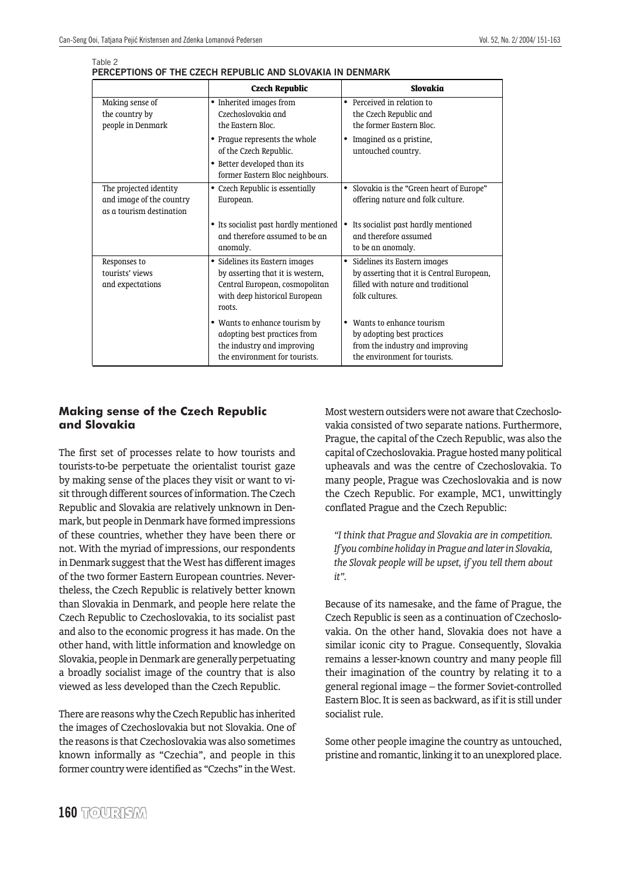Table 2

| PERCEPTIONS OF THE CZECH REPUBLIC AND SLOVAKIA IN DENMARK |  |  |  |
|-----------------------------------------------------------|--|--|--|
|                                                           |  |  |  |

|                                                                                | <b>Czech Republic</b>                                                                                                                           | Slovakia                                                                                                                                       |
|--------------------------------------------------------------------------------|-------------------------------------------------------------------------------------------------------------------------------------------------|------------------------------------------------------------------------------------------------------------------------------------------------|
| Making sense of<br>the country by<br>people in Denmark                         | • Inherited images from<br>Czechoslovakia and<br>the Eastern Bloc.                                                                              | • Perceived in relation to<br>the Czech Republic and<br>the former Eastern Bloc.                                                               |
|                                                                                | • Prague represents the whole<br>of the Czech Republic.<br>• Better developed than its<br>former Eastern Bloc neighbours.                       | Imagined as a pristine,<br>untouched country.                                                                                                  |
| The projected identity<br>and image of the country<br>as a tourism destination | Czech Republic is essentially<br>٠<br>European.                                                                                                 | Slovakia is the "Green heart of Europe"<br>٠<br>offering nature and folk culture.                                                              |
|                                                                                | • Its socialist past hardly mentioned<br>and therefore assumed to be an<br>anomaly.                                                             | Its socialist past hardly mentioned<br>٠<br>and therefore assumed<br>to be an anomaly.                                                         |
| Responses to<br>tourists' views<br>and expectations                            | • Sidelines its Eastern images<br>by asserting that it is western,<br>Central European, cosmopolitan<br>with deep historical European<br>roots. | Sidelines its Eastern images<br>$\bullet$<br>by asserting that it is Central European,<br>filled with nature and traditional<br>folk cultures. |
|                                                                                | • Wants to enhance tourism by<br>adopting best practices from<br>the industry and improving<br>the environment for tourists.                    | Wants to enhance tourism<br>by adopting best practices<br>from the industry and improving<br>the environment for tourists.                     |

#### **Making sense of the Czech Republic and Slovakia**

The first set of processes relate to how tourists and tourists-to-be perpetuate the orientalist tourist gaze by making sense of the places they visit or want to visit through different sources of information. The Czech Republic and Slovakia are relatively unknown in Denmark, but people in Denmark have formed impressions of these countries, whether they have been there or not. With the myriad of impressions, our respondents in Denmark suggest that the West has different images of the two former Eastern European countries. Nevertheless, the Czech Republic is relatively better known than Slovakia in Denmark, and people here relate the Czech Republic to Czechoslovakia, to its socialist past and also to the economic progress it has made. On the other hand, with little information and knowledge on Slovakia, people in Denmark are generally perpetuating a broadly socialist image of the country that is also viewed as less developed than the Czech Republic.

There are reasons why the Czech Republic has inherited the images of Czechoslovakia but not Slovakia. One of the reasons is that Czechoslovakia was also sometimes known informally as "Czechia", and people in this former country were identified as "Czechs" in the West.

Most western outsiders were not aware that Czechoslovakia consisted of two separate nations. Furthermore, Prague, the capital of the Czech Republic, was also the capital of Czechoslovakia. Prague hosted many political upheavals and was the centre of Czechoslovakia. To many people, Prague was Czechoslovakia and is now the Czech Republic. For example, MC1, unwittingly conflated Prague and the Czech Republic:

*"I think that Prague and Slovakia are in competition. If you combine holiday in Prague and later in Slovakia, the Slovak people will be upset, if you tell them about it".*

Because of its namesake, and the fame of Prague, the Czech Republic is seen as a continuation of Czechoslovakia. On the other hand, Slovakia does not have a similar iconic city to Prague. Consequently, Slovakia remains a lesser-known country and many people fill their imagination of the country by relating it to a general regional image – the former Soviet-controlled Eastern Bloc. It is seen as backward, as if it is still under socialist rule.

Some other people imagine the country as untouched, pristine and romantic, linking it to an unexplored place.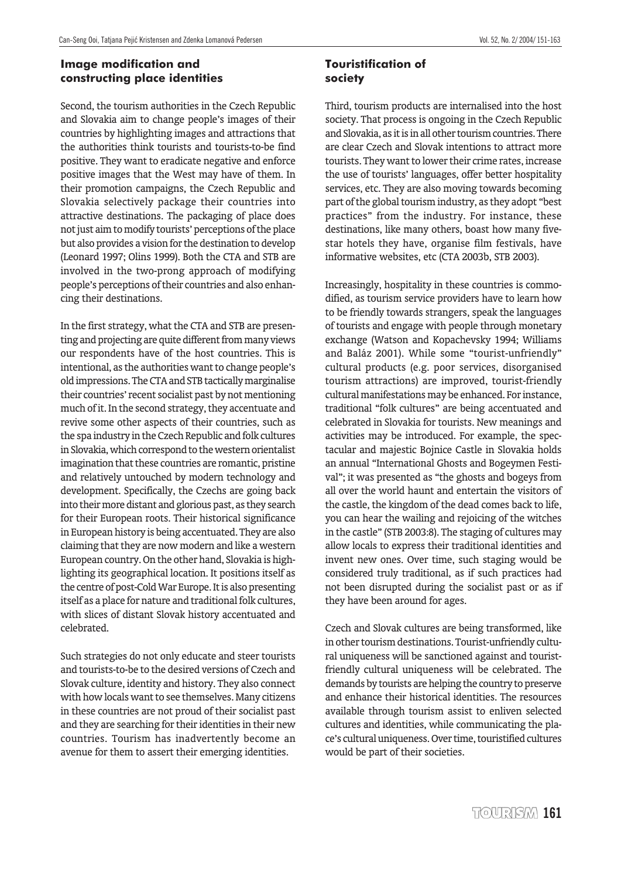# **Image modification and constructing place identities**

Second, the tourism authorities in the Czech Republic and Slovakia aim to change people's images of their countries by highlighting images and attractions that the authorities think tourists and tourists-to-be find positive. They want to eradicate negative and enforce positive images that the West may have of them. In their promotion campaigns, the Czech Republic and Slovakia selectively package their countries into attractive destinations. The packaging of place does not just aim to modify tourists' perceptions of the place but also provides a vision for the destination to develop (Leonard 1997; Olins 1999). Both the CTA and STB are involved in the two-prong approach of modifying people's perceptions of their countries and also enhancing their destinations.

In the first strategy, what the CTA and STB are presenting and projecting are quite different from many views our respondents have of the host countries. This is intentional, as the authorities want to change people's old impressions. The CTA and STB tactically marginalise their countries' recent socialist past by not mentioning much of it. In the second strategy, they accentuate and revive some other aspects of their countries, such as the spa industry in the Czech Republic and folk cultures in Slovakia, which correspond to the western orientalist imagination that these countries are romantic, pristine and relatively untouched by modern technology and development. Specifically, the Czechs are going back into their more distant and glorious past, as they search for their European roots. Their historical significance in European history is being accentuated. They are also claiming that they are now modern and like a western European country. On the other hand, Slovakia is highlighting its geographical location. It positions itself as the centre of post-Cold War Europe. It is also presenting itself as a place for nature and traditional folk cultures, with slices of distant Slovak history accentuated and celebrated.

Such strategies do not only educate and steer tourists and tourists-to-be to the desired versions of Czech and Slovak culture, identity and history. They also connect with how locals want to see themselves. Many citizens in these countries are not proud of their socialist past and they are searching for their identities in their new countries. Tourism has inadvertently become an avenue for them to assert their emerging identities.

## **Touristification of society**

Third, tourism products are internalised into the host society. That process is ongoing in the Czech Republic and Slovakia, as it is in all other tourism countries. There are clear Czech and Slovak intentions to attract more tourists. They want to lower their crime rates, increase the use of tourists' languages, offer better hospitality services, etc. They are also moving towards becoming part of the global tourism industry, as they adopt "best practices" from the industry. For instance, these destinations, like many others, boast how many fivestar hotels they have, organise film festivals, have informative websites, etc (CTA 2003b, STB 2003).

Increasingly, hospitality in these countries is commodified, as tourism service providers have to learn how to be friendly towards strangers, speak the languages of tourists and engage with people through monetary exchange (Watson and Kopachevsky 1994; Williams and Baláz 2001). While some "tourist-unfriendly" cultural products (e.g. poor services, disorganised tourism attractions) are improved, tourist-friendly cultural manifestations may be enhanced. For instance, traditional "folk cultures" are being accentuated and celebrated in Slovakia for tourists. New meanings and activities may be introduced. For example, the spectacular and majestic Bojnice Castle in Slovakia holds an annual "International Ghosts and Bogeymen Festival"; it was presented as "the ghosts and bogeys from all over the world haunt and entertain the visitors of the castle, the kingdom of the dead comes back to life, you can hear the wailing and rejoicing of the witches in the castle" (STB 2003:8). The staging of cultures may allow locals to express their traditional identities and invent new ones. Over time, such staging would be considered truly traditional, as if such practices had not been disrupted during the socialist past or as if they have been around for ages.

Czech and Slovak cultures are being transformed, like in other tourism destinations. Tourist-unfriendly cultural uniqueness will be sanctioned against and touristfriendly cultural uniqueness will be celebrated. The demands by tourists are helping the country to preserve and enhance their historical identities. The resources available through tourism assist to enliven selected cultures and identities, while communicating the place's cultural uniqueness. Over time, touristified cultures would be part of their societies.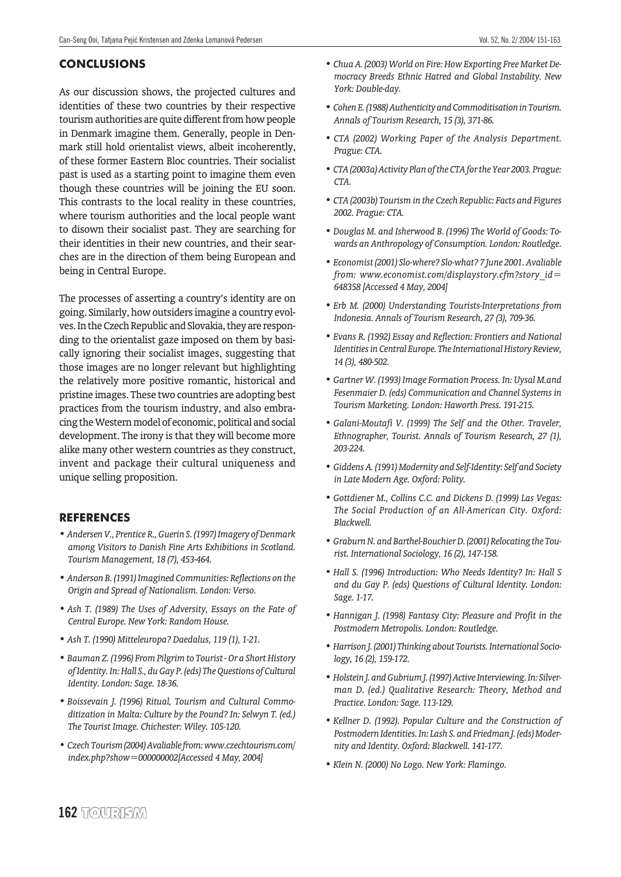#### **CONCLUSIONS**

As our discussion shows, the projected cultures and identities of these two countries by their respective tourism authorities are quite different from how people in Denmark imagine them. Generally, people in Denmark still hold orientalist views, albeit incoherently, of these former Eastern Bloc countries. Their socialist past is used as a starting point to imagine them even though these countries will be joining the EU soon. This contrasts to the local reality in these countries, where tourism authorities and the local people want to disown their socialist past. They are searching for their identities in their new countries, and their searches are in the direction of them being European and being in Central Europe.

The processes of asserting a country's identity are on going. Similarly, how outsiders imagine a country evolves. In the Czech Republic and Slovakia, they are responding to the orientalist gaze imposed on them by basically ignoring their socialist images, suggesting that those images are no longer relevant but highlighting the relatively more positive romantic, historical and pristine images. These two countries are adopting best practices from the tourism industry, and also embracing the Western model of economic, political and social development. The irony is that they will become more alike many other western countries as they construct, invent and package their cultural uniqueness and unique selling proposition.

#### **REFERENCES**

- *Andersen V., Prentice R., Guerin S. (1997) Imagery of Denmark among Visitors to Danish Fine Arts Exhibitions in Scotland. Tourism Management, 18 (7), 453-464.*
- *Anderson B. (1991) Imagined Communities: Reflections on the Origin and Spread of Nationalism. London: Verso.*
- *Ash T. (1989) The Uses of Adversity, Essays on the Fate of Central Europe. New York: Random House.*
- *Ash T. (1990) Mitteleuropa? Daedalus, 119 (1), 1-21.*
- *Bauman Z. (1996) From Pilgrim to Tourist Or a Short History of Identity. In: Hall S., du Gay P. (eds) The Questions of Cultural Identity. London: Sage. 18-36.*
- *Boissevain J. (1996) Ritual, Tourism and Cultural Commoditization in Malta: Culture by the Pound? In: Selwyn T. (ed.) The Tourist Image. Chichester: Wiley. 105-120.*
- *Czech Tourism (2004) Avaliable from: www.czechtourism.com/ index.php?show=000000002[Accessed 4 May, 2004]*
- *Chua A. (2003) World on Fire: How Exporting Free Market Democracy Breeds Ethnic Hatred and Global Instability. New York: Double-day.*
- *Cohen E. (1988) Authenticity and Commoditisation in Tourism. Annals of Tourism Research, 15 (3), 371-86.*
- *CTA (2002) Working Paper of the Analysis Department. Prague: CTA.*
- *CTA (2003a) Activity Plan of the CTA for the Year 2003. Prague: CTA.*
- *CTA (2003b) Tourism in the Czech Republic: Facts and Figures 2002. Prague: CTA.*
- *Douglas M. and Isherwood B. (1996) The World of Goods: Towards an Anthropology of Consumption. London: Routledge.*
- *Economist (2001) Slo-where? Slo-what? 7 June 2001. Avaliable from: www.economist.com/displaystory.cfm?story\_id= 648358 [Accessed 4 May, 2004]*
- *Erb M. (2000) Understanding Tourists-Interpretations from Indonesia. Annals of Tourism Research, 27 (3), 709-36.*
- *Evans R. (1992) Essay and Reflection: Frontiers and National Identities in Central Europe. The International History Review, 14 (3), 480-502.*
- *Gartner W. (1993) Image Formation Process. In: Uysal M.and Fesenmaier D. (eds) Communication and Channel Systems in Tourism Marketing. London: Haworth Press. 191-215.*
- *Galani-Moutafi V. (1999) The Self and the Other. Traveler, Ethnographer, Tourist. Annals of Tourism Research, 27 (1), 203-224.*
- *Giddens A. (1991) Modernity and Self-Identity: Self and Society in Late Modern Age. Oxford: Polity.*
- *Gottdiener M., Collins C.C. and Dickens D. (1999) Las Vegas: The Social Production of an All-American City. Oxford: Blackwell.*
- *Graburn N. and Barthel-Bouchier D. (2001) Relocating the Tourist. International Sociology, 16 (2), 147-158.*
- *Hall S. (1996) Introduction: Who Needs Identity? In: Hall S and du Gay P. (eds) Questions of Cultural Identity. London: Sage. 1-17.*
- *Hannigan J. (1998) Fantasy City: Pleasure and Profit in the Postmodern Metropolis. London: Routledge.*
- *Harrison J. (2001) Thinking about Tourists. International Sociology, 16 (2), 159-172.*
- *Holstein J. and Gubrium J. (1997) Active Interviewing. In: Silverman D. (ed.) Qualitative Research: Theory, Method and Practice. London: Sage. 113-129.*
- *Kellner D. (1992). Popular Culture and the Construction of Postmodern Identities. In: Lash S. and Friedman J. (eds) Modernity and Identity. Oxford: Blackwell. 141-177.*
- *Klein N. (2000) No Logo. New York: Flamingo.*